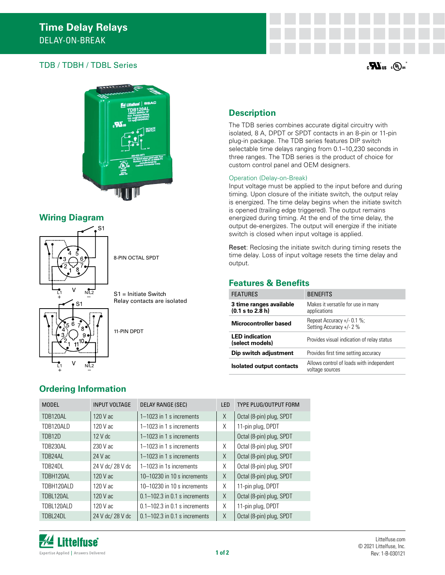## $\mathbf{T}$ DB / TDBH / TDBL Series  $\mathbf{w}_{\mathbf{u}}$



#### **Wiring Diagram**



8-PIN OCTAL SPDT

S1 = Initiate Switch Relay contacts are isolated

11-PIN DPDT

# **Description**

The TDB series combines accurate digital circuitry with isolated, 8 A, DPDT or SPDT contacts in an 8-pin or 11-pin plug-in package. The TDB series features DIP switch selectable time delays ranging from 0.1–10,230 seconds in three ranges. The TDB series is the product of choice for custom control panel and OEM designers.

#### Operation (Delay-on-Break)

Input voltage must be applied to the input before and during timing. Upon closure of the initiate switch, the output relay is energized. The time delay begins when the initiate switch is opened (trailing edge triggered). The output remains energized during timing. At the end of the time delay, the output de-energizes. The output will energize if the initiate switch is closed when input voltage is applied.

Reset: Reclosing the initiate switch during timing resets the time delay. Loss of input voltage resets the time delay and output.

#### **Features & Benefits**

| <b>FEATURES</b>                               | <b>BENEFITS</b>                                             |
|-----------------------------------------------|-------------------------------------------------------------|
| 3 time ranges available<br>$(0.1$ s to 2.8 h) | Makes it versatile for use in many<br>applications          |
| Microcontroller based                         | Repeat Accuracy $+/- 0.1 \%$ ;<br>Setting Accuracy +/- 2 %  |
| <b>LED</b> indication<br>(select models)      | Provides visual indication of relay status                  |
| Dip switch adjustment                         | Provides first time setting accuracy                        |
| <b>Isolated output contacts</b>               | Allows control of loads with independent<br>voltage sources |

## **Ordering Information**

| <b>MODEL</b>  | <b>INPUT VOLTAGE</b> | DELAY RANGE (SEC)                 | <b>LED</b> | TYPE PLUG/OUTPUT FORM    |
|---------------|----------------------|-----------------------------------|------------|--------------------------|
| TDB120AL      | 120 V ac             | 1-1023 in 1 s increments          | X          | Octal (8-pin) plug, SPDT |
| TDB120ALD     | 120 V ac             | $1-1023$ in 1 s increments        | X          | 11-pin plug, DPDT        |
| <b>TDB12D</b> | $12V$ dc             | $1-1023$ in 1 s increments        |            | Octal (8-pin) plug, SPDT |
| TDB230AL      | $230V$ ac            | $1-1023$ in 1 s increments        | X          | Octal (8-pin) plug, SPDT |
| TDB24AL       | 24 V ac              | $1-1023$ in 1 s increments        | X          | Octal (8-pin) plug, SPDT |
| TDB24DL       | 24 V dc/ 28 V dc     | 1-1023 in 1s increments           | Χ          | Octal (8-pin) plug, SPDT |
| TDBH120AL     | $120V$ ac            | $10-10230$ in 10 s increments     | X          | Octal (8-pin) plug, SPDT |
| TDBH120ALD    | 120 V ac             | $10-10230$ in 10 s increments     | X          | 11-pin plug, DPDT        |
| TDBL120AL     | $120V$ ac            | $0.1 - 102.3$ in 0.1 s increments | X          | Octal (8-pin) plug, SPDT |
| TDBL120ALD    | 120 V ac             | $0.1 - 102.3$ in 0.1 s increments | X          | 11-pin plug, DPDT        |
| TDBL24DL      | 24 V dc/ 28 V dc     | $0.1 - 102.3$ in 0.1 s increments | X          | Octal (8-pin) plug, SPDT |